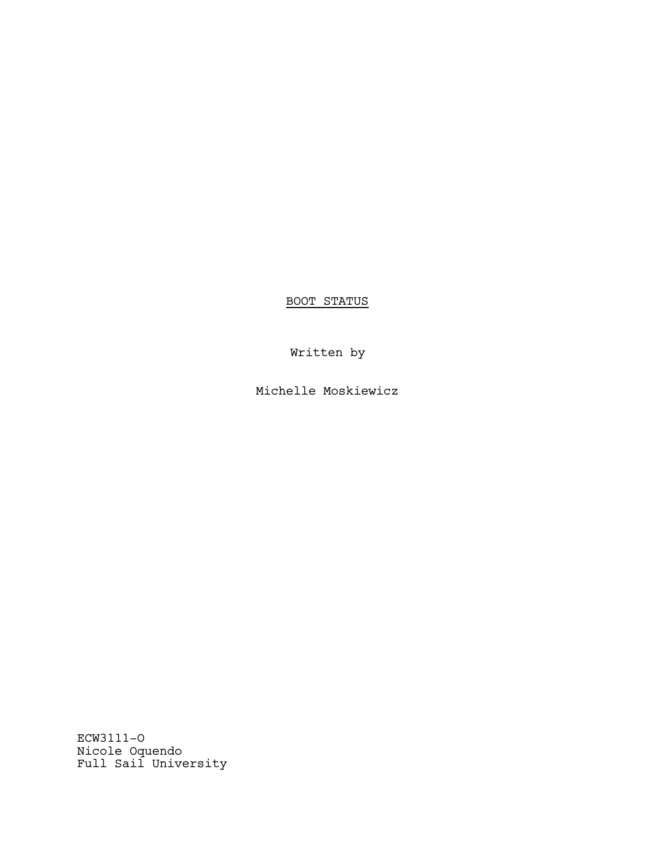BOOT STATUS

Written by

Michelle Moskiewicz

ECW3111-O Nicole Oquendo Full Sail University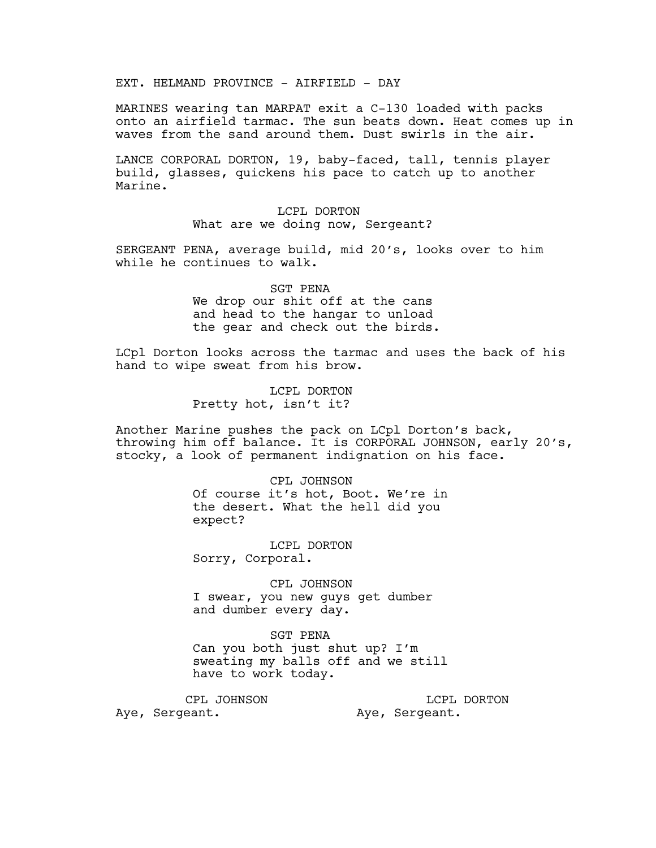EXT. HELMAND PROVINCE - AIRFIELD - DAY

MARINES wearing tan MARPAT exit a C-130 loaded with packs onto an airfield tarmac. The sun beats down. Heat comes up in waves from the sand around them. Dust swirls in the air.

LANCE CORPORAL DORTON, 19, baby-faced, tall, tennis player build, glasses, quickens his pace to catch up to another Marine.

> LCPL DORTON What are we doing now, Sergeant?

SERGEANT PENA, average build, mid 20's, looks over to him while he continues to walk.

> SGT PENA We drop our shit off at the cans and head to the hangar to unload the gear and check out the birds.

LCpl Dorton looks across the tarmac and uses the back of his hand to wipe sweat from his brow.

> LCPL DORTON Pretty hot, isn't it?

Another Marine pushes the pack on LCpl Dorton's back, throwing him off balance. It is CORPORAL JOHNSON, early 20's, stocky, a look of permanent indignation on his face.

> CPL JOHNSON Of course it's hot, Boot. We're in the desert. What the hell did you expect?

LCPL DORTON Sorry, Corporal.

CPL JOHNSON I swear, you new guys get dumber and dumber every day.

SGT PENA Can you both just shut up? I'm sweating my balls off and we still have to work today.

CPL JOHNSON Aye, Sergeant. LCPL DORTON Aye, Sergeant.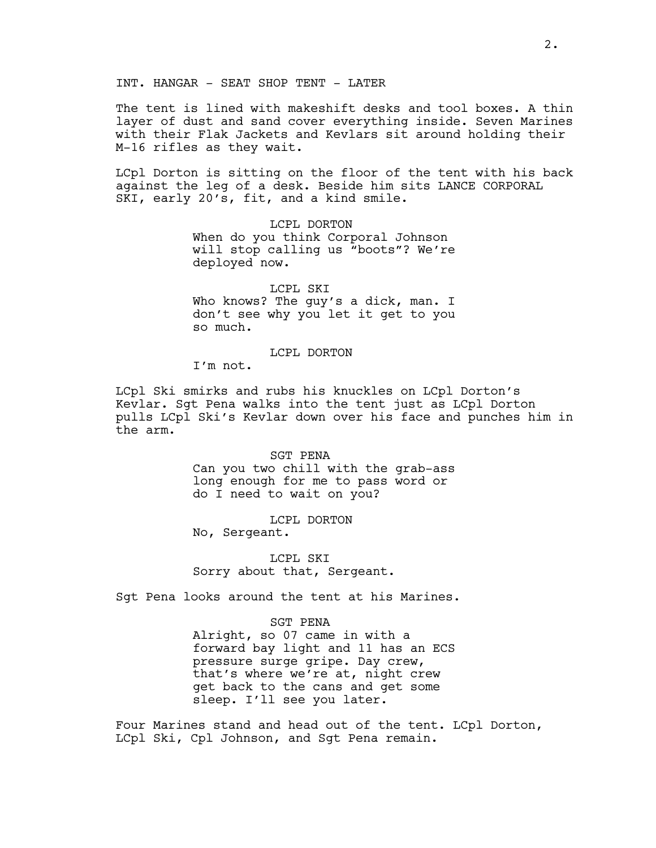INT. HANGAR - SEAT SHOP TENT - LATER

The tent is lined with makeshift desks and tool boxes. A thin layer of dust and sand cover everything inside. Seven Marines with their Flak Jackets and Kevlars sit around holding their M-16 rifles as they wait.

LCpl Dorton is sitting on the floor of the tent with his back against the leg of a desk. Beside him sits LANCE CORPORAL SKI, early 20's, fit, and a kind smile.

> LCPL DORTON When do you think Corporal Johnson will stop calling us "boots"? We're deployed now.

> LCPL SKI Who knows? The guy's a dick, man. I don't see why you let it get to you so much.

## LCPL DORTON

I'm not.

LCpl Ski smirks and rubs his knuckles on LCpl Dorton's Kevlar. Sgt Pena walks into the tent just as LCpl Dorton pulls LCpl Ski's Kevlar down over his face and punches him in the arm.

> SGT PENA Can you two chill with the grab-ass long enough for me to pass word or do I need to wait on you?

LCPL DORTON No, Sergeant.

LCPL SKI Sorry about that, Sergeant.

Sgt Pena looks around the tent at his Marines.

SGT PENA Alright, so 07 came in with a forward bay light and 11 has an ECS pressure surge gripe. Day crew, that's where we're at, night crew get back to the cans and get some sleep. I'll see you later.

Four Marines stand and head out of the tent. LCpl Dorton, LCpl Ski, Cpl Johnson, and Sgt Pena remain.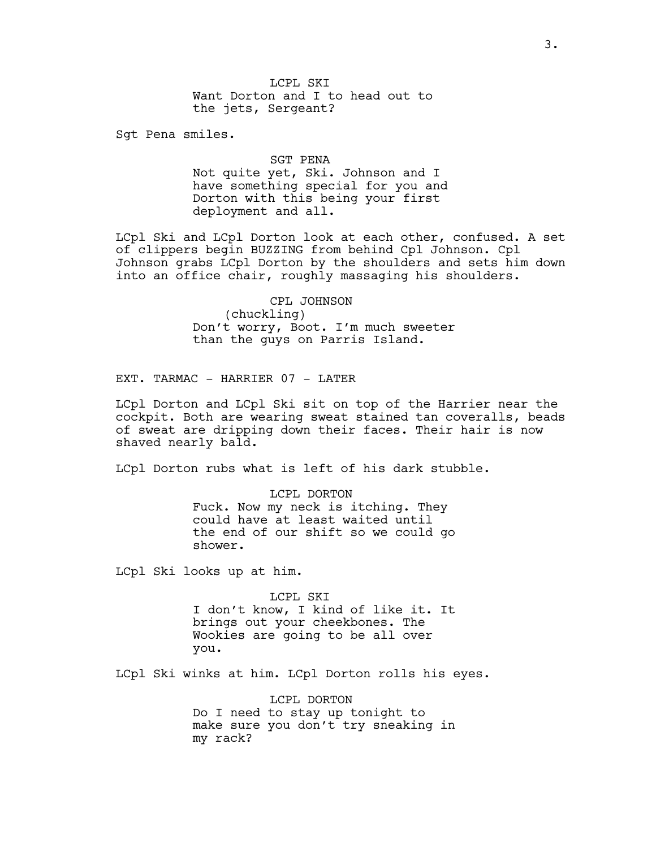Sgt Pena smiles.

SGT PENA Not quite yet, Ski. Johnson and I have something special for you and Dorton with this being your first deployment and all.

LCpl Ski and LCpl Dorton look at each other, confused. A set of clippers begin BUZZING from behind Cpl Johnson. Cpl Johnson grabs LCpl Dorton by the shoulders and sets him down into an office chair, roughly massaging his shoulders.

> CPL JOHNSON (chuckling) Don't worry, Boot. I'm much sweeter than the guys on Parris Island.

EXT. TARMAC - HARRIER 07 - LATER

LCpl Dorton and LCpl Ski sit on top of the Harrier near the cockpit. Both are wearing sweat stained tan coveralls, beads of sweat are dripping down their faces. Their hair is now shaved nearly bald.

LCpl Dorton rubs what is left of his dark stubble.

LCPL DORTON Fuck. Now my neck is itching. They could have at least waited until the end of our shift so we could go shower.

LCpl Ski looks up at him.

LCPL SKI I don't know, I kind of like it. It brings out your cheekbones. The Wookies are going to be all over you.

LCpl Ski winks at him. LCpl Dorton rolls his eyes.

LCPL DORTON Do I need to stay up tonight to make sure you don't try sneaking in my rack?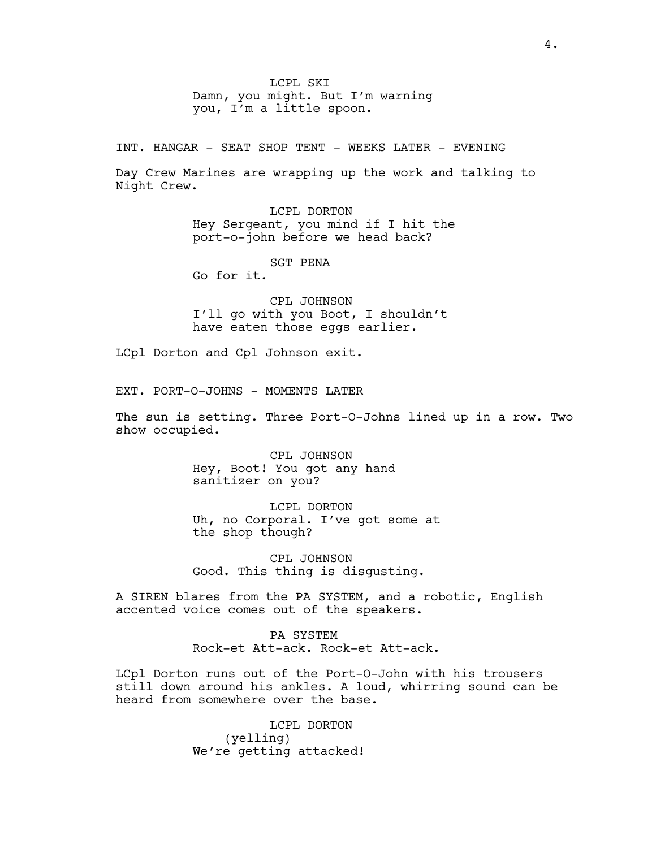LCPL SKI Damn, you might. But I'm warning you, I'm a little spoon.

INT. HANGAR - SEAT SHOP TENT - WEEKS LATER - EVENING

Day Crew Marines are wrapping up the work and talking to Night Crew.

> LCPL DORTON Hey Sergeant, you mind if I hit the port-o-john before we head back?

> > SGT PENA

Go for it.

CPL JOHNSON I'll go with you Boot, I shouldn't have eaten those eggs earlier.

LCpl Dorton and Cpl Johnson exit.

EXT. PORT-O-JOHNS - MOMENTS LATER

The sun is setting. Three Port-O-Johns lined up in a row. Two show occupied.

> CPL JOHNSON Hey, Boot! You got any hand sanitizer on you?

LCPL DORTON Uh, no Corporal. I've got some at the shop though?

CPL JOHNSON Good. This thing is disgusting.

A SIREN blares from the PA SYSTEM, and a robotic, English accented voice comes out of the speakers.

> PA SYSTEM Rock-et Att-ack. Rock-et Att-ack.

LCpl Dorton runs out of the Port-O-John with his trousers still down around his ankles. A loud, whirring sound can be heard from somewhere over the base.

> LCPL DORTON (yelling) We're getting attacked!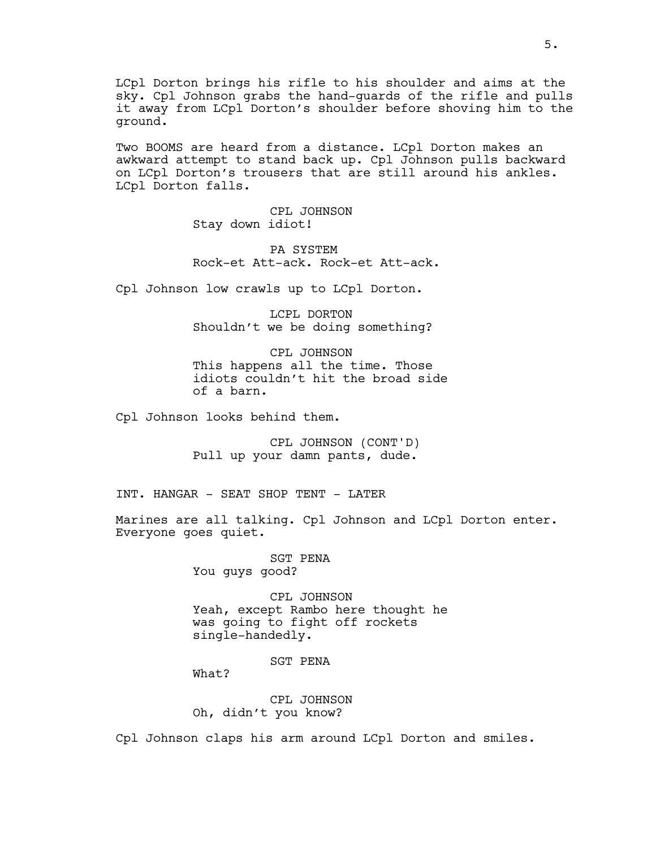LCpl Dorton brings his rifle to his shoulder and aims at the sky. Cpl Johnson grabs the hand-guards of the rifle and pulls it away from LCpl Dorton's shoulder before shoving him to the ground.

Two BOOMS are heard from a distance. LCpl Dorton makes an awkward attempt to stand back up. Cpl Johnson pulls backward on LCpl Dorton's trousers that are still around his ankles. LCpl Dorton falls.

> CPL JOHNSON Stay down idiot!

PA SYSTEM Rock-et Att-ack. Rock-et Att-ack.

Cpl Johnson low crawls up to LCpl Dorton.

LCPL DORTON Shouldn't we be doing something?

CPL JOHNSON This happens all the time. Those idiots couldn't hit the broad side of a barn.

Cpl Johnson looks behind them.

CPL JOHNSON (CONT'D) Pull up your damn pants, dude.

INT. HANGAR - SEAT SHOP TENT - LATER

Marines are all talking. Cpl Johnson and LCpl Dorton enter. Everyone goes quiet.

> SGT PENA You guys good?

CPL JOHNSON Yeah, except Rambo here thought he was going to fight off rockets single-handedly.

SGT PENA

What?

CPL JOHNSON Oh, didn't you know?

Cpl Johnson claps his arm around LCpl Dorton and smiles.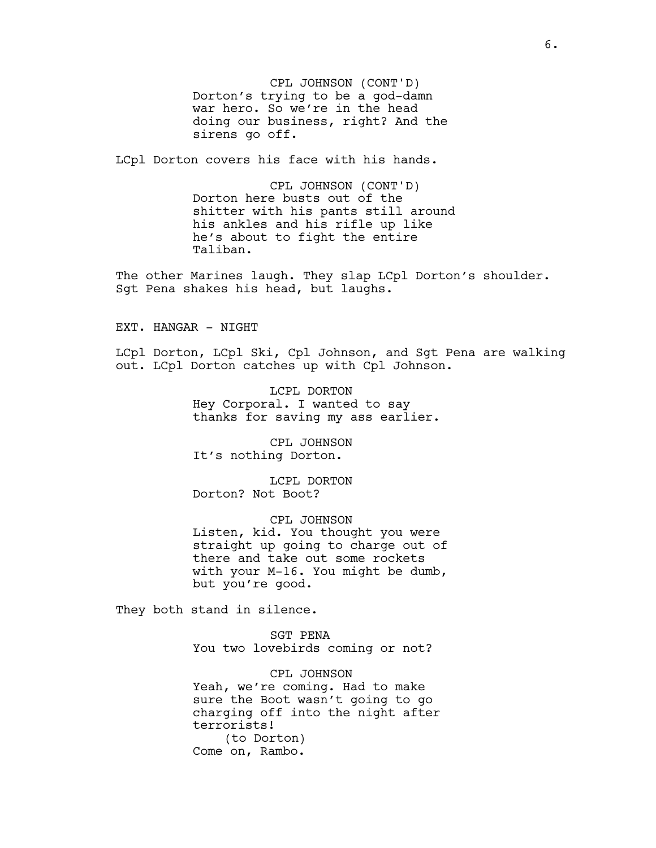CPL JOHNSON (CONT'D) Dorton's trying to be a god-damn war hero. So we're in the head doing our business, right? And the sirens go off.

LCpl Dorton covers his face with his hands.

CPL JOHNSON (CONT'D) Dorton here busts out of the shitter with his pants still around his ankles and his rifle up like he's about to fight the entire Taliban.

The other Marines laugh. They slap LCpl Dorton's shoulder. Sgt Pena shakes his head, but laughs.

EXT. HANGAR - NIGHT

LCpl Dorton, LCpl Ski, Cpl Johnson, and Sgt Pena are walking out. LCpl Dorton catches up with Cpl Johnson.

> LCPL DORTON Hey Corporal. I wanted to say thanks for saving my ass earlier.

CPL JOHNSON It's nothing Dorton.

LCPL DORTON Dorton? Not Boot?

CPL JOHNSON Listen, kid. You thought you were straight up going to charge out of there and take out some rockets with your M-16. You might be dumb, but you're good.

They both stand in silence.

SGT PENA You two lovebirds coming or not?

CPL JOHNSON Yeah, we're coming. Had to make sure the Boot wasn't going to go charging off into the night after terrorists! (to Dorton) Come on, Rambo.